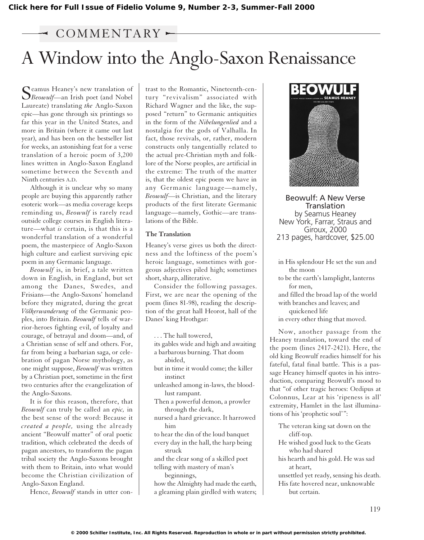# $\sim$  COMMENTARY

# A Window into the Anglo-Saxon Renaissance

Seamus Heaney's new translation of<br>Beowulf—an Irish poet (and Nobel Laureate) translating *the* Anglo-Saxon epic—has gone through six printings so far this year in the United States, and more in Britain (where it came out last year), and has been on the bestseller list for weeks, an astonishing feat for a verse translation of a heroic poem of 3,200 lines written in Anglo-Saxon England sometime between the Seventh and Ninth centuries A.D.

Although it is unclear why so many people are buying this apparently rather esoteric work—as media coverage keeps reminding us, *Beowulf* is rarely read outside college courses in English literature—what *is* certain, is that this is a wonderful translation of a wonderful poem, the masterpiece of Anglo-Saxon high culture and earliest surviving epic poem in any Germanic language.

*Beowulf* is, in brief, a tale written down in English, in England, but set among the Danes, Swedes, and Frisians—the Anglo-Saxons' homeland before they migrated, during the great *Völkerwanderung* of the Germanic peoples, into Britain. *Beowulf* tells of warrior-heroes fighting evil, of loyalty and courage, of betrayal and doom—and, of a Christian sense of self and others. For, far from being a barbarian saga, or celebration of pagan Norse mythology, as one might suppose, *Beowulf* was written by a Christian poet, sometime in the first two centuries after the evangelization of the Anglo-Saxons.

It is for this reason, therefore, that *Beowulf* can truly be called an *epic,* in the best sense of the word: Because it *created a people,* using the already ancient "Beowulf matter" of oral poetic tradition, which celebrated the deeds of pagan ancestors, to transform the pagan tribal society the Anglo-Saxons brought with them to Britain, into what would become the Christian civilization of Anglo-Saxon England.

Hence, *Beowulf* stands in utter con-

trast to the Romantic, Nineteenth-century "revivalism" associated with Richard Wagner and the like, the supposed "return" to Germanic antiquities in the form of the *Nibelungenlied* and a nostalgia for the gods of Valhalla. In fact, those revivals, or, rather, modern constructs only tangentially related to the actual pre-Christian myth and folklore of the Norse peoples, are artificial in the extreme: The truth of the matter is, that the oldest epic poem we have in any Germanic language—namely, *Beowulf*—is Christian, and the literary products of the first literate Germanic language—namely, Gothic—are translations of the Bible.

#### **The Translation**

Heaney's verse gives us both the directness and the loftiness of the poem's heroic language, sometimes with gorgeous adjectives piled high; sometimes short, sharp, alliterative.

Consider the following passages. First, we are near the opening of the poem (lines 81-98), reading the description of the great hall Heorot, hall of the Danes' king Hrothgar:

- . . . The hall towered,
- its gables wide and high and awaiting a barbarous burning. That doom
	- abided,

but in time it would come; the killer instinct

unleashed among in-laws, the bloodlust rampant.

Then a powerful demon, a prowler through the dark,

nursed a hard grievance. It harrowed him

to hear the din of the loud banquet every day in the hall, the harp being struck

and the clear song of a skilled poet telling with mastery of man's beginnings,

how the Almighty had made the earth, a gleaming plain girdled with waters;



Beowulf: A New Verse **Translation** by Seamus Heaney New York, Farrar, Straus and Giroux, 2000 213 pages, hardcover, \$25.00

in His splendour He set the sun and the moon to be the earth's lamplight, lanterns for men, and filled the broad lap of the world with branches and leaves; and quickened life in every other thing that moved.

Now, another passage from the Heaney translation, toward the end of the poem (lines 2417-2421). Here, the old king Beowulf readies himself for his fateful, fatal final battle. This is a passage Heaney himself quotes in his introduction, comparing Beowulf's mood to that "of other tragic heroes: Oedipus at Colonnus, Lear at his 'ripeness is all' extremity, Hamlet in the last illuminations of his 'prophetic soul'":

The veteran king sat down on the cliff-top.

- He wished good luck to the Geats who had shared
- his hearth and his gold. He was sad at heart,
- unsettled yet ready, sensing his death.

His fate hovered near, unknowable but certain.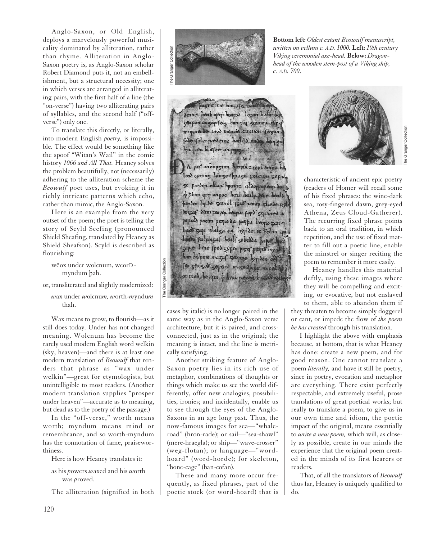Anglo-Saxon, or Old English, deploys a marvelously powerful musicality dominated by alliteration, rather than rhyme. Alliteration in Anglo-Saxon poetry is, as Anglo-Saxon scholar Robert Diamond puts it, not an embellishment, but a structural necessity; one in which verses are arranged in alliterating pairs, with the first half of a line (the "on-verse") having two alliterating pairs of syllables, and the second half ("offverse") only one.

To translate this directly, or literally, into modern English *poetry,* is impossible. The effect would be something like the spoof "Witan's Wail" in the comic history *1066 and All That.* Heaney solves the problem beautifully, not (necessarily) adhering to the alliteration scheme the *Beowulf* poet uses, but evoking it in richly intricate patterns which echo, rather than mimic, the Anglo-Saxon.

Here is an example from the very outset of the poem; the poet is telling the story of Scyld Scefing (pronounced Shield Sheafing, translated by Heaney as Shield Sheafson). Scyld is described as flourishing:

wēox under wolcnum, weorDmyndum bah.

or, transliterated and slightly modernized:

*w*ax under *w*olcnu*m, w*orth-*m*yndu*m* thah.

The Granger Collection

ranger

Collection

Wax means to grow, to flourish—as it still does today. Under has not changed meaning. Wolcnum has become the rarely used modern English word welkin (sky, heaven)—and there is at least one modern translation of *Beowulf* that renders that phrase as "wax under welkin"—great for etymologists, but unintelligible to most readers. (Another modern translation supplies "prosper under heaven"—accurate as to meaning, but dead as to the poetry of the passage.)

In the "off-verse," worth means worth; myndum means mind or remembrance, and so worth-myndum has the connotation of fame, praiseworthiness.

Here is how Heaney translates it:

as his *p*owers *w*axed and his *w*orth was *p*roved.

The alliteration (signified in both



pazze he hum afterwartes Senne heah open heapod lecan hothn be seapon onzap fecz han pap seomop. Per munmende mod men ne 'cunnon fecgan faite fele predonne heled under hoope hpa ham hlarte on pont.  $\cdot$ 1.  $6.14.2$  and A per on bungum beopule revi dinga be leod cymnz Lonze ppaze poleum zepu. 5e parton ellop hyeapp aldone open do opt him epe on poe heah healp dene heald penson lipse samol ysis peoin slæse form dinzaf dan peopen beapn popo septimed in popolo pocim peopo da prespa heopo zan-7 huod sap phalsa cil hypide re felan ve hado feilping af healf sebedda haper had sape hope sped sypen piser people mysel him haipine mazaf seopre hyp don odd (co 500 500 sepose maso spile mical) con mod be upon of the peced haran poly

cases by italic) is no longer paired in the same way as in the Anglo-Saxon verse architecture, but it is paired, and crossconnected, just as in the original; the meaning is intact, and the line is metrically satisfying.

Another striking feature of Anglo-Saxon poetry lies in its rich use of metaphor, combinations of thoughts or things which make us see the world differently, offer new analogies, possibilities, ironies; and incidentally, enable us to see through the eyes of the Anglo-Saxons in an age long past. Thus, the now-famous images for sea—"whaleroad" (hron-rade); or sail—"sea-shawl" (mere-hraegla); or ship—"wave-crosser" (weg-flotan); or language—"wordhoard" (word-horde); for skeleton, "bone-cage" (ban-cofan).

These and many more occur frequently, as fixed phrases, part of the poetic stock (or word-hoard) that is

**Bottom left:** *Oldest extant Beowulf manuscript, written on vellum c. A.D. 1000.* **Left:** *10th century Viking ceremonial axe-head.* **Below:** *Dragonhead of the wooden stem-post of a Viking ship, c. A.D. 700*.



The Granger Collection

characteristic of ancient epic poetry (readers of Homer will recall some of his fixed phrases: the wine-dark sea, rosy-fingered dawn, grey-eyed Athena, Zeus Cloud-Gatherer). The recurring fixed phrase points back to an oral tradition, in which repetition, and the use of fixed matter to fill out a poetic line, enable the minstrel or singer reciting the poem to remember it more easily.

Heaney handles this material deftly, using these images where they will be compelling and exciting, or evocative, but not enslaved to them, able to abandon them if

they threaten to become simply doggerel or cant, or impede the flow of *the poem he has created* through his translation.

I highlight the above with emphasis because, at bottom, that is what Heaney has done: create a new poem, and for good reason. One cannot translate a poem *literally,* and have it still be poetry, since in poetry, evocation and metaphor are everything. There exist perfectly respectable, and extremely useful, prose translations of great poetical works; but really to translate a poem, to give us in our own time and idiom, the poetic impact of the original, means essentially to *write a new poem,* which will, as closely as possible, create in our minds the experience that the original poem created in the minds of its first hearers or readers.

That, of all the translators of *Beowulf* thus far, Heaney is uniquely qualified to do.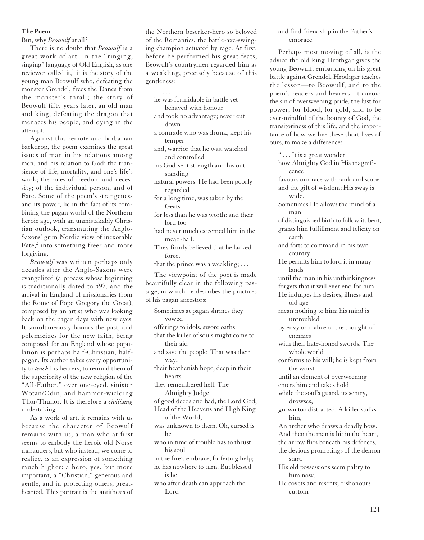# **The Poem**

But, why *Beowulf* at all?

There is no doubt that *Beowulf* is a great work of art. In the "ringing, singing" language of Old English, as one reviewer called it,<sup>1</sup> it is the story of the young man Beowulf who, defeating the monster Grendel, frees the Danes from the monster's thrall; the story of Beowulf fifty years later, an old man and king, defeating the dragon that menaces his people, and dying in the attempt.

Against this remote and barbarian backdrop, the poem examines the great issues of man in his relations among men, and his relation to God: the transience of life, mortality, and one's life's work; the roles of freedom and necessity; of the individual person, and of Fate. Some of the poem's strangeness and its power, lie in the fact of its combining the pagan world of the Northern heroic age, with an unmistakably Christian outlook, transmuting the Anglo-Saxons' grim Nordic view of inexorable Fate,<sup>2</sup> into something freer and more forgiving.

*Beowulf* was written perhaps only decades after the Anglo-Saxons were evangelized (a process whose beginning is traditionally dated to 597, and the arrival in England of missionaries from the Rome of Pope Gregory the Great), composed by an artist who was looking back on the pagan days with new eyes. It simultaneously honors the past, and polemicizes for the new faith, being composed for an England whose population is perhaps half-Christian, halfpagan. Its author takes every opportunity to *teach* his hearers, to remind them of the superiority of the new religion of the "All-Father," over one-eyed, sinister Wotan/Odin, and hammer-wielding Thor/Thunor. It is therefore a *civilizing* undertaking.

As a work of art, it remains with us because the character of Beowulf remains with us, a man who at first seems to embody the heroic old Norse marauders, but who instead, we come to realize, is an expression of something much higher: a hero, yes, but more important, a "Christian," generous and gentle, and in protecting others, greathearted. This portrait is the antithesis of

the Northern beserker-hero so beloved of the Romantics, the battle-axe-swinging champion actuated by rage. At first, before he performed his great feats, Beowulf's countrymen regarded him as a weakling, precisely because of this gentleness:

...

- he was formidable in battle yet behaved with honour
- and took no advantage; never cut down
- a comrade who was drunk, kept his temper
- and, warrior that he was, watched and controlled
- his God-sent strength and his outstanding
- natural powers. He had been poorly regarded
- for a long time, was taken by the Geats
- for less than he was worth: and their lord too
- had never much esteemed him in the mead-hall.
- They firmly believed that he lacked force,
- that the prince was a weakling; . . .

The viewpoint of the poet is made beautifully clear in the following passage, in which he describes the practices of his pagan ancestors:

Sometimes at pagan shrines they vowed offerings to idols, swore oaths that the killer of souls might come to their aid and save the people. That was their way, their heathenish hope; deep in their hearts they remembered hell. The Almighty Judge of good deeds and bad, the Lord God, Head of the Heavens and High King of the World, was unknown to them. Oh, cursed is he who in time of trouble has to thrust his soul in the fire's embrace, forfeiting help; he has nowhere to turn. But blessed is he who after death can approach the Lord

# and find friendship in the Father's embrace.

Perhaps most moving of all, is the advice the old king Hrothgar gives the young Beowulf, embarking on his great battle against Grendel. Hrothgar teaches the lesson—to Beowulf, and to the poem's readers and hearers—to avoid the sin of overweening pride, the lust for power, for blood, for gold, and to be ever-mindful of the bounty of God, the transitoriness of this life, and the importance of how we live these short lives of ours, to make a difference:

" . . . It is a great wonder how Almighty God in His magnificence favours our race with rank and scope and the gift of wisdom; His sway is wide. Sometimes He allows the mind of a man of distinguished birth to follow its bent, grants him fulfillment and felicity on earth and forts to command in his own country. He permits him to lord it in many lands until the man in his unthinkingness forgets that it will ever end for him. He indulges his desires; illness and old age mean nothing to him; his mind is untroubled by envy or malice or the thought of enemies with their hate-honed swords. The whole world conforms to his will; he is kept from the worst until an element of overweening enters him and takes hold while the soul's guard, its sentry, drowses, grown too distracted. A killer stalks him, An archer who draws a deadly bow. And then the man is hit in the heart, the arrow flies beneath his defences, the devious promptings of the demon start. His old possessions seem paltry to him now. He covets and resents; dishonours custom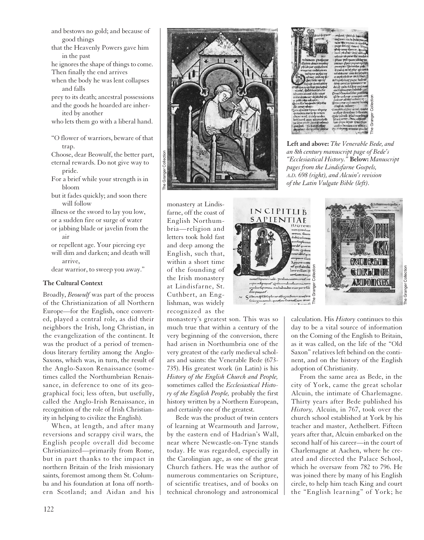- and bestows no gold; and because of good things
- that the Heavenly Powers gave him in the past

he ignores the shape of things to come. Then finally the end arrives

when the body he was lent collapses and falls

prey to its death; ancestral possessions and the goods he hoarded are inher-

ited by another who lets them go with a liberal hand.

"O flower of warriors, beware of that trap.

Choose, dear Beowulf, the better part, eternal rewards. Do not give way to pride.

For a brief while your strength is in bloom

but it fades quickly; and soon there will follow

illness or the sword to lay you low, or a sudden fire or surge of water or jabbing blade or javelin from the air

or repellent age. Your piercing eye will dim and darken; and death will arrive,

dear warrior, to sweep you away."

## **The Cultural Context**

Broadly, *Beowulf* was part of the process of the Christianization of all Northern Europe—for the English, once converted, played a central role, as did their neighbors the Irish, long Christian, in the evangelization of the continent. It was the product of a period of tremendous literary fertility among the Anglo-Saxons, which was, in turn, the result of the Anglo-Saxon Renaissance (sometimes called the Northumbrian Renaissance, in deference to one of its geographical foci; less often, but usefully, called the Anglo-Irish Renaissance, in recognition of the role of Irish Christianity in helping to civilize the English).

When, at length, and after many reversions and scrappy civil wars, the English people overall did become Christianized—primarily from Rome, but in part thanks to the impact in northern Britain of the Irish missionary saints, foremost among them St. Columba and his foundation at Iona off northern Scotland; and Aidan and his



|                                                      | and out Peteryb: https://                                     |                   |
|------------------------------------------------------|---------------------------------------------------------------|-------------------|
|                                                      | conforum couch concopum on                                    |                   |
|                                                      | nent Chystopaucic errores                                     |                   |
|                                                      | perry dentry evants areas                                     |                   |
|                                                      | τάταρ τιακη πρατιση, απιτός                                   |                   |
|                                                      | mam phuante Onur sech ad                                      |                   |
|                                                      | coliccer component lo tireccisant                             |                   |
| minorato professor                                   | phate poloquam feminy Bay                                     |                   |
| celopoto cemex ocquirar                              | can earn ppace prover a potted                                |                   |
| philfingeer quoticolmon                              | perceptore. Hommittee politi-                                 |                   |
| unecurmee certholycorum                              | o tpee of mine pine qui cumo                                  |                   |
| metropone supportup                                  | codumnation soci am eq ciling                                 |                   |
| calsuor peutrem de.                                  | ce supérnéntire deldyfume                                     |                   |
| Clear Section operati-                               | eco-apofiolicity paper habres                                 |                   |
| celerico clotumulumen                                | delni-consilio quice stuto se-                                |                   |
| Gyscopupobito prudispera                             | dulup quím éclépip condonum                                   |                   |
| tulicenti; Sed a mombincho                           | canchi grisco pum mrcente ; en                                |                   |
| pec comen centopul cochin mayor                      | Cruce h mmonocfetivo unitidam                                 |                   |
| acche derancen - oz baches pli                       | qd ft- nonlong cenecepols com<br>peemeer eebbeep heechnicenum |                   |
| o redan negra nel quiro;                             | Immetione cept secret tradit                                  |                   |
| Cham ille european payseno<br>thin century emitters' | chlaqinda unbaram-                                            |                   |
| Time equecime il panco chiponer                      | monarchusclibur sinut creede                                  | <b>Sollection</b> |
| torecopacu-meeting the notivent                      | enation direction Inferences                                  |                   |
| abioso simul crance nondan                           | gives painter or la move linear                               | Granger           |
| hymbnotui osam uchipnocedin                          | phycir simul : I fime comporter                               |                   |
| the libro policie divinal archeory                   | 'enm papa nipste forscopaen                                   |                   |
| putpen : Um moderateur                               | accepro-bureacm am unities a                                  |                   |
| du ciplinit, clocul-tauntil, quantite,               | City Incircuitty securities cheedus                           | The               |
|                                                      | <b>POUCHER</b>                                                |                   |

**Left and above:** *The Venerable Bede, and an 8th century manuscript page of Bede's "Ecclesiastical History."* **Below:** *Manuscript pages from the Lindisfarne Gospels, A.D. 698 (right), and Alcuin's revision of the Latin Vulgate Bible (left).*

monastery at Lindisfarne, off the coast of English Northumbria—religion and letters took hold fast and deep among the English, such that, within a short time of the founding of the Irish monastery at Lindisfarne, St. Cuthbert, an Englishman, was widely recognized as the

monastery's greatest son. This was so much true that within a century of the very beginning of the conversion, there had arisen in Northumbria one of the very greatest of the early medieval scholars and saints: the Venerable Bede (673- 735). His greatest work (in Latin) is his *History of the English Church and People,* sometimes called the *Ecclesiastical History of the English People,* probably the first history written by a Northern European, and certainly one of the greatest.

Bede was the product of twin centers of learning at Wearmouth and Jarrow, by the eastern end of Hadrian's Wall, near where Newcastle-on-Tyne stands today. He was regarded, especially in the Carolingian age, as one of the great Church fathers. He was the author of numerous commentaries on Scripture, of scientific treatises, and of books on technical chronology and astronomical





The Granger Collection

The Granger Collection

calculation. His *History* continues to this day to be a vital source of information on the Coming of the English to Britain, as it was called, on the life of the "Old Saxon" relatives left behind on the continent, and on the history of the English adoption of Christianity.

From the same area as Bede, in the city of York, came the great scholar Alcuin, the intimate of Charlemagne. Thirty years after Bede published his *History,* Alcuin, in 767, took over the church school established at York by his teacher and master, Aethelbert. Fifteen years after that, Alcuin embarked on the second half of his career—in the court of Charlemagne at Aachen, where he created and directed the Palace School, which he oversaw from 782 to 796. He was joined there by many of his English circle, to help him teach King and court the "English learning" of York; he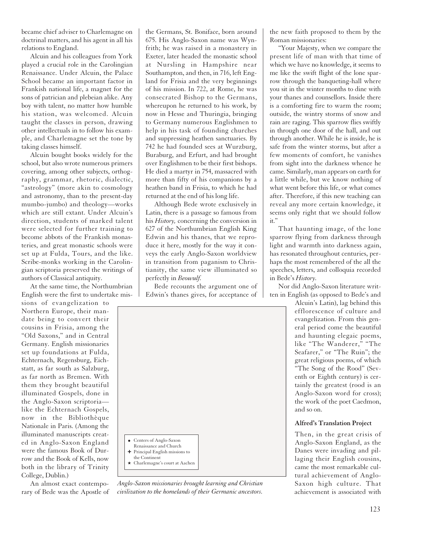became chief adviser to Charlemagne on doctrinal matters, and his agent in all his relations to England.

Alcuin and his colleagues from York played a crucial role in the Carolingian Renaissance. Under Alcuin, the Palace School became an important factor in Frankish national life, a magnet for the sons of patrician and plebeian alike. Any boy with talent, no matter how humble his station, was welcomed. Alcuin taught the classes in person, drawing other intellectuals in to follow his example, and Charlemagne set the tone by taking classes himself.

Alcuin bought books widely for the school, but also wrote numerous primers covering, among other subjects, orthography, grammar, rhetoric, dialectic, "astrology" (more akin to cosmology and astronomy, than to the present-day mumbo-jumbo) and theology—works which are still extant. Under Alcuin's direction, students of marked talent were selected for further training to become abbots of the Frankish monasteries, and great monastic schools were set up at Fulda, Tours, and the like. Scribe-monks working in the Carolingian scriptoria preserved the writings of authors of Classical antiquity.

At the same time, the Northumbrian English were the first to undertake mis-

sions of evangelization to Northern Europe, their mandate being to convert their cousins in Frisia, among the "Old Saxons," and in Central Germany. English missionaries set up foundations at Fulda, Echternach, Regensburg, Eichstatt, as far south as Salzburg, as far north as Bremen. With them they brought beautiful illuminated Gospels, done in the Anglo-Saxon scriptoria like the Echternach Gospels, now in the Bibliothèque Nationale in Paris. (Among the illuminated manuscripts created in Anglo-Saxon England were the famous Book of Durrow and the Book of Kells, now both in the library of Trinity College, Dublin.)

An almost exact contemporary of Bede was the Apostle of the Germans, St. Boniface, born around 675. His Anglo-Saxon name was Wynfrith; he was raised in a monastery in Exeter, later headed the monastic school at Nursling in Hampshire near Southampton, and then, in 716, left England for Frisia and the very beginnings of his mission. In 722, at Rome, he was consecrated Bishop to the Germans, whereupon he returned to his work, by now in Hesse and Thuringia, bringing to Germany numerous Englishmen to help in his task of founding churches and suppressing heathen sanctuaries. By 742 he had founded sees at Wurzburg, Buraburg, and Erfurt, and had brought over Englishmen to be their first bishops. He died a martyr in 754, massacred with more than fifty of his companions by a heathen band in Frisia, to which he had returned at the end of his long life.

Although Bede wrote exclusively in Latin, there is a passage so famous from his *History,* concerning the conversion in 627 of the Northumbrian English King Edwin and his thanes, that we reproduce it here, mostly for the way it conveys the early Anglo-Saxon worldview in transition from paganism to Christianity, the same view illuminated so perfectly in *Beowulf.*

Bede recounts the argument one of Edwin's thanes gives, for acceptance of



*Anglo-Saxon missionaries brought learning and Christian civilization to the homelands of their Germanic ancestors.*

the new faith proposed to them by the Roman missionaries:

"Your Majesty, when we compare the present life of man with that time of which we have no knowledge, it seems to me like the swift flight of the lone sparrow through the banqueting-hall where you sit in the winter months to dine with your thanes and counsellors. Inside there is a comforting fire to warm the room; outside, the wintry storms of snow and rain are raging. This sparrow flies swiftly in through one door of the hall, and out through another. While he is inside, he is safe from the winter storms, but after a few moments of comfort, he vanishes from sight into the darkness whence he came. Similarly, man appears on earth for a little while, but we know nothing of what went before this life, or what comes after. Therefore, if this new teaching can reveal any more certain knowledge, it seems only right that we should follow it."

That haunting image, of the lone sparrow flying from darkness through light and warmth into darkness again, has resonated throughout centuries, perhaps the most remembered of the all the speeches, letters, and colloquia recorded in Bede's *History.*

Nor did Anglo-Saxon literature written in English (as opposed to Bede's and

> Alcuin's Latin), lag behind this efflorescence of culture and evangelization. From this general period come the beautiful and haunting elegaic poems, like "The Wanderer," "The Seafarer," or "The Ruin"; the great religious poems, of which "The Song of the Rood" (Seventh or Eighth century) is certainly the greatest (rood is an Anglo-Saxon word for cross); the work of the poet Caedmon, and so on.

#### **Alfred's Translation Project**

Then, in the great crisis of Anglo-Saxon England, as the Danes were invading and pillaging their English cousins, came the most remarkable cultural achievement of Anglo-Saxon high culture. That achievement is associated with